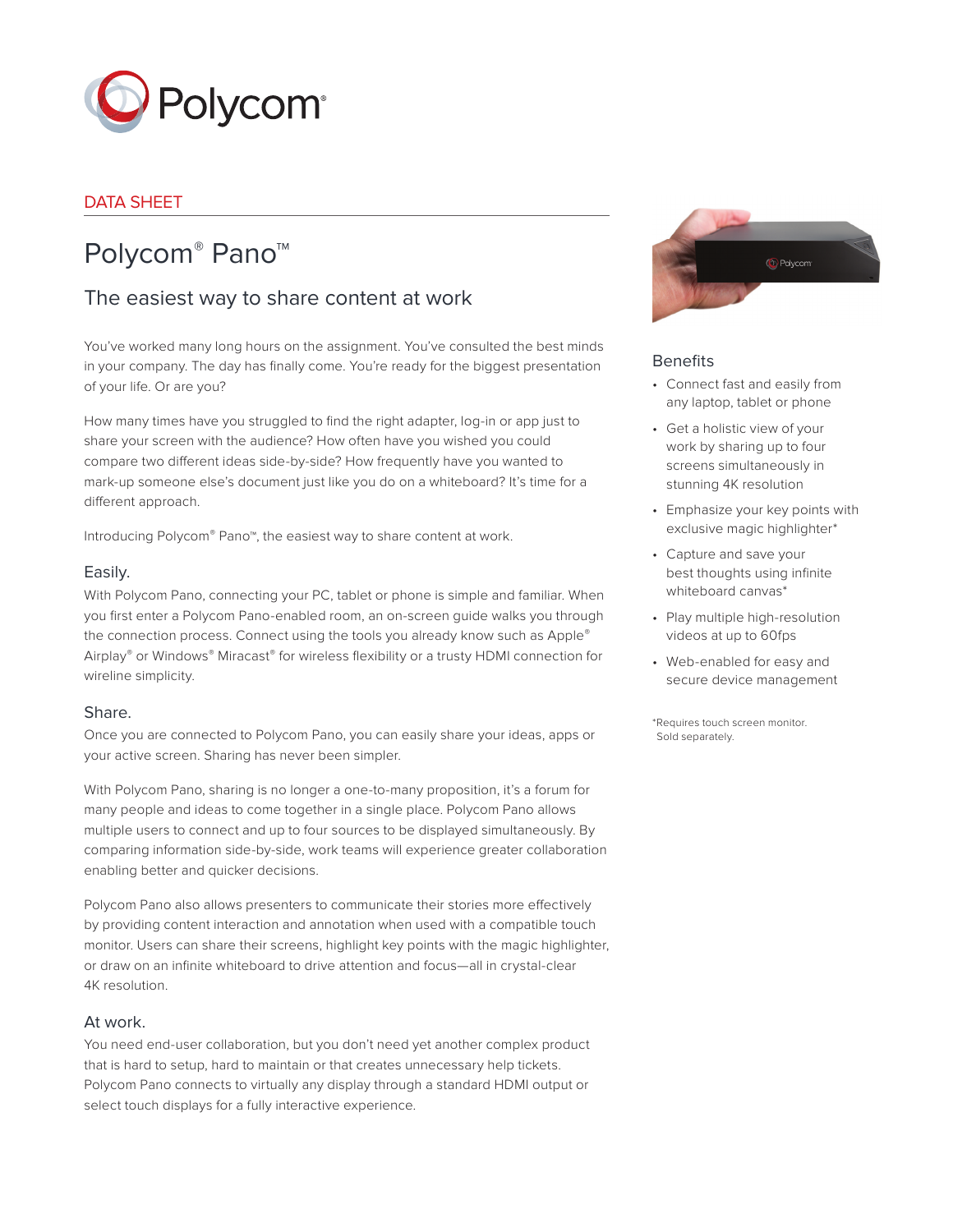

# DATA SHEET

# Polycom® Pano™

# The easiest way to share content at work

You've worked many long hours on the assignment. You've consulted the best minds in your company. The day has finally come. You're ready for the biggest presentation of your life. Or are you?

How many times have you struggled to find the right adapter, log-in or app just to share your screen with the audience? How often have you wished you could compare two different ideas side-by-side? How frequently have you wanted to mark-up someone else's document just like you do on a whiteboard? It's time for a different approach.

Introducing Polycom® Pano™, the easiest way to share content at work.

#### Easily.

With Polycom Pano, connecting your PC, tablet or phone is simple and familiar. When you first enter a Polycom Pano-enabled room, an on-screen guide walks you through the connection process. Connect using the tools you already know such as Apple® Airplay® or Windows® Miracast® for wireless flexibility or a trusty HDMI connection for wireline simplicity.

#### Share.

Once you are connected to Polycom Pano, you can easily share your ideas, apps or your active screen. Sharing has never been simpler.

With Polycom Pano, sharing is no longer a one-to-many proposition, it's a forum for many people and ideas to come together in a single place. Polycom Pano allows multiple users to connect and up to four sources to be displayed simultaneously. By comparing information side-by-side, work teams will experience greater collaboration enabling better and quicker decisions.

Polycom Pano also allows presenters to communicate their stories more effectively by providing content interaction and annotation when used with a compatible touch monitor. Users can share their screens, highlight key points with the magic highlighter, or draw on an infinite whiteboard to drive attention and focus-all in crystal-clear 4K resolution.

#### At work.

You need end-user collaboration, but you don't need yet another complex product that is hard to setup, hard to maintain or that creates unnecessary help tickets. Polycom Pano connects to virtually any display through a standard HDMI output or select touch displays for a fully interactive experience.



#### **Benefits**

- Connect fast and easily from any laptop, tablet or phone
- Get a holistic view of your work by sharing up to four screens simultaneously in stunning 4K resolution
- Emphasize your key points with exclusive magic highlighter\*
- Capture and save your best thoughts using infinite whiteboard canvas\*
- Play multiple high-resolution videos at up to 60fps
- Web-enabled for easy and secure device management

\*Requires touch screen monitor. Sold separately.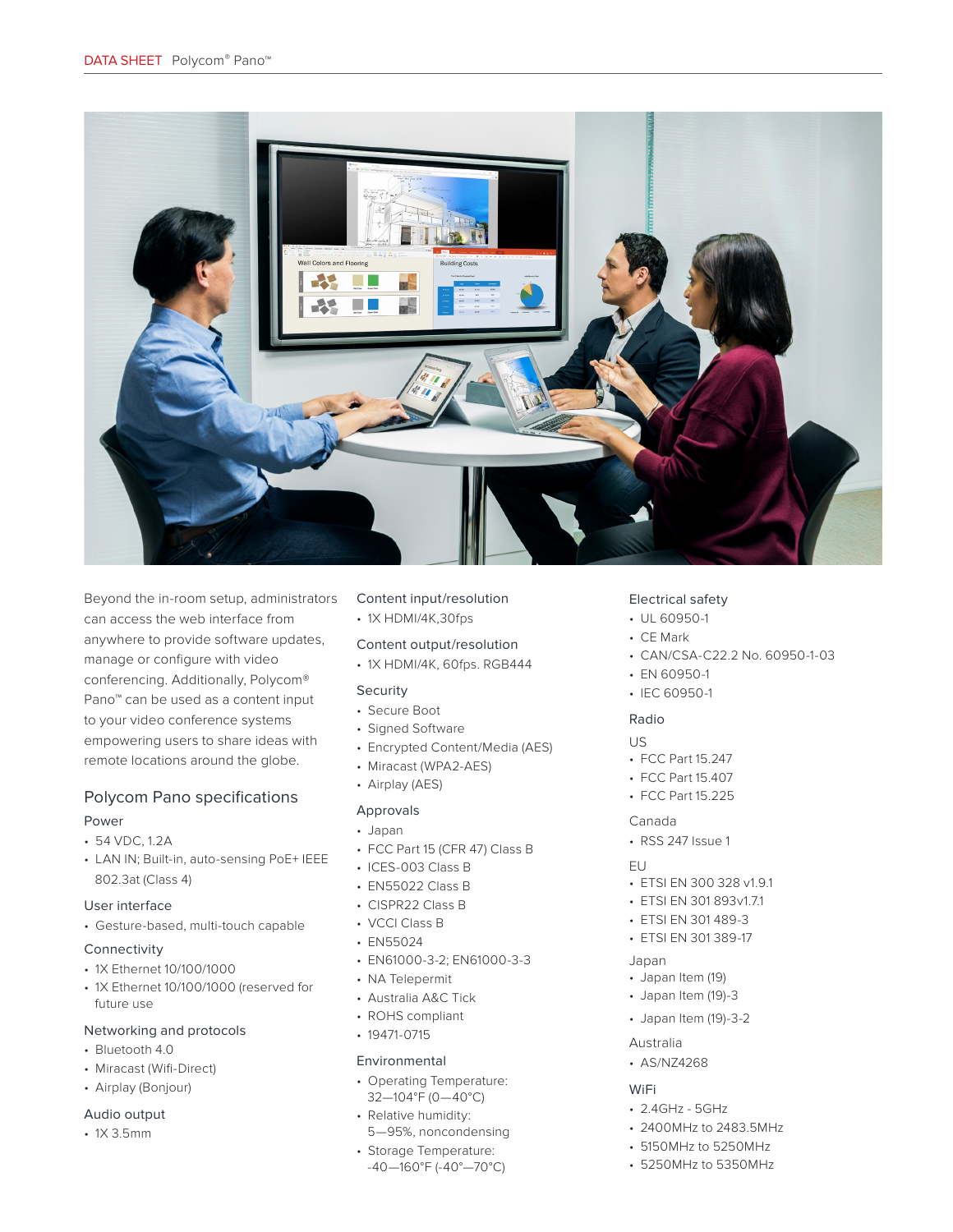

Beyond the in-room setup, administrators can access the web interface from anywhere to provide software updates, manage or configure with video conferencing. Additionally, Polycom® Pano™ can be used as a content input to your video conference systems empowering users to share ideas with remote locations around the globe.

# Polycom Pano specifications

#### Power

- 54 VDC, 1.2A
- LAN IN; Built-in, auto-sensing PoE+ IEEE 802.3at (Class 4)

#### User interface

• Gesture-based, multi-touch capable

#### Connectivity

- 1X Ethernet 10/100/1000
- 1X Ethernet 10/100/1000 (reserved for future use

#### Networking and protocols

- Bluetooth 4.0
- Miracast (Wifi-Direct)
- Airplay (Bonjour)

#### Audio output

• 1X 3.5mm

## Content input/resolution

• 1X HDMI/4K,30fps

# Content output/resolution

• 1X HDMI/4K, 60fps. RGB444

#### Security

- Secure Boot
- Signed Software
- Encrypted Content/Media (AES)
- Miracast (WPA2-AES)
- Airplay (AES)

## Approvals

- Japan
- FCC Part 15 (CFR 47) Class B
- ICES-003 Class B
- EN55022 Class B
- CISPR22 Class B
- VCCI Class B
- EN55024
- EN61000-3-2; EN61000-3-3
- NA Telepermit
- Australia A&C Tick
- ROHS compliant
- 19471-0715

#### Environmental

- Operating Temperature: 32—104°F (0—40°C)
- Relative humidity:
- 5—95%, noncondensing
- Storage Temperature: -40—160°F (-40°—70°C)

#### Electrical safety

- UL 60950-1
- CE Mark
- CAN/CSA-C22.2 No. 60950-1-03
- EN 60950-1
- IEC 60950-1

#### Radio

#### US

- FCC Part 15.247
- FCC Part 15.407
- FCC Part 15.225

#### Canada

• RSS 247 Issue 1

#### $EU$

- ETSI EN 300 328 v1.9.1
- ETSI EN 301 893v1.7.1
- ETSI EN 301 489-3
- ETSI EN 301 389-17

#### Japan

- Japan Item (19)
- Japan Item (19)-3
- Japan Item (19)-3-2

#### Australia

• AS/NZ4268

#### WiFi

- 2.4GHz 5GHz
- 2400MHz to 2483.5MHz
- 5150MHz to 5250MHz
- 5250MHz to 5350MHz